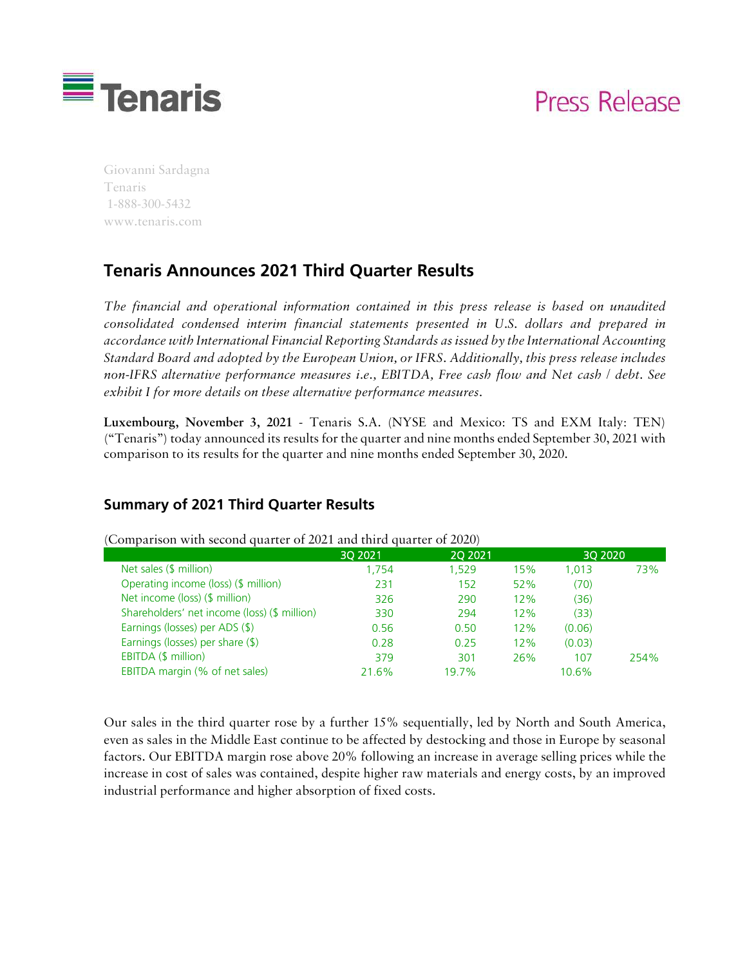

# **Press Release**

Giovanni Sardagna Tenaris 1-888-300-5432 www.tenaris.com

# **Tenaris Announces 2021 Third Quarter Results**

*The financial and operational information contained in this press release is based on unaudited consolidated condensed interim financial statements presented in U.S. dollars and prepared in accordance with International Financial Reporting Standards as issued by the International Accounting Standard Board and adopted by the European Union, or IFRS. Additionally, this press release includes non-IFRS alternative performance measures i.e., EBITDA, Free cash flow and Net cash / debt. See exhibit I for more details on these alternative performance measures.*

Luxembourg, November 3, 2021 - Tenaris S.A. (NYSE and Mexico: TS and EXM Italy: TEN) ("Tenaris") today announced its results for the quarter and nine months ended September 30, 2021 with comparison to its results for the quarter and nine months ended September 30, 2020.

### **Summary of 2021 Third Quarter Results**

|                                              | 30 20 21 | <b>2Q 2021</b> |     |        | 30 20 20 |  |
|----------------------------------------------|----------|----------------|-----|--------|----------|--|
| Net sales (\$ million)                       | 1.754    | 1,529          | 15% | 1.013  | 73%      |  |
| Operating income (loss) (\$ million)         | 231      | 152            | 52% | (70)   |          |  |
| Net income (loss) (\$ million)               | 326      | 290            | 12% | (36)   |          |  |
| Shareholders' net income (loss) (\$ million) | 330      | 294            | 12% | (33)   |          |  |
| Earnings (losses) per ADS (\$)               | 0.56     | 0.50           | 12% | (0.06) |          |  |
| Earnings (losses) per share (\$)             | 0.28     | 0.25           | 12% | (0.03) |          |  |
| EBITDA (\$ million)                          | 379      | 301            | 26% | 107    | 254%     |  |
| EBITDA margin (% of net sales)               | 21.6%    | 19.7%          |     | 10.6%  |          |  |
|                                              |          |                |     |        |          |  |

(Comparison with second quarter of 2021 and third quarter of 2020)

Our sales in the third quarter rose by a further 15% sequentially, led by North and South America, even as sales in the Middle East continue to be affected by destocking and those in Europe by seasonal factors. Our EBITDA margin rose above 20% following an increase in average selling prices while the increase in cost of sales was contained, despite higher raw materials and energy costs, by an improved industrial performance and higher absorption of fixed costs.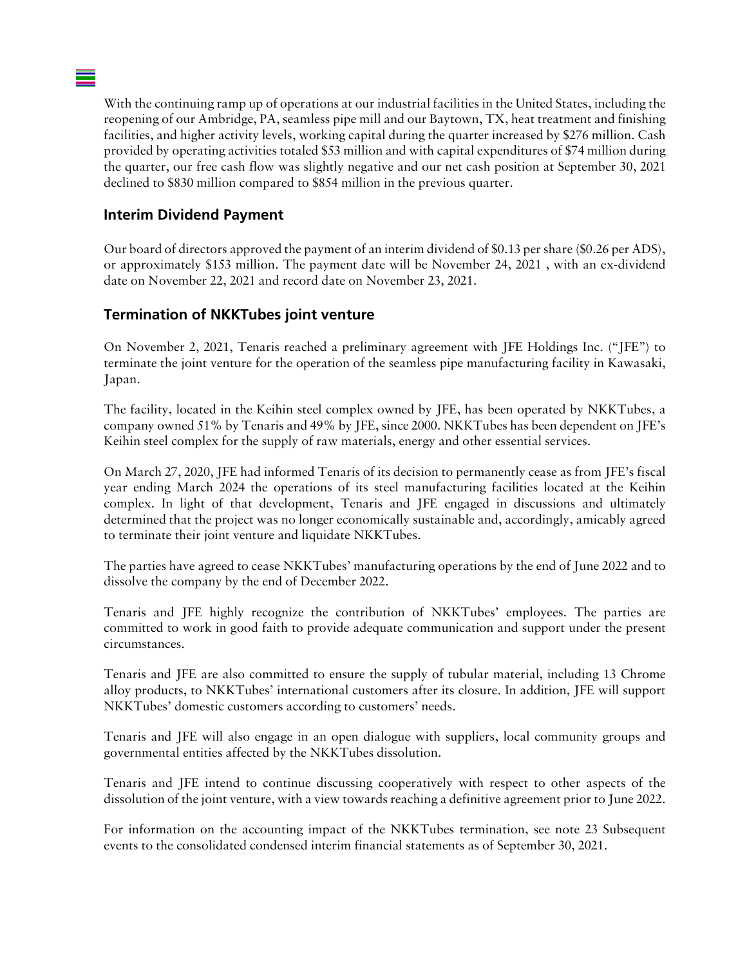With the continuing ramp up of operations at our industrial facilities in the United States, including the reopening of our Ambridge, PA, seamless pipe mill and our Baytown, TX, heat treatment and finishing facilities, and higher activity levels, working capital during the quarter increased by \$276 million. Cash provided by operating activities totaled \$53 million and with capital expenditures of \$74 million during the quarter, our free cash flow was slightly negative and our net cash position at September 30, 2021 declined to \$830 million compared to \$854 million in the previous quarter.

# **Interim Dividend Payment**

Our board of directors approved the payment of an interim dividend of \$0.13 per share (\$0.26 per ADS), or approximately \$153 million. The payment date will be November 24, 2021 , with an ex-dividend date on November 22, 2021 and record date on November 23, 2021.

# **Termination of NKKTubes joint venture**

On November 2, 2021, Tenaris reached a preliminary agreement with JFE Holdings Inc. ("JFE") to terminate the joint venture for the operation of the seamless pipe manufacturing facility in Kawasaki, Japan.

The facility, located in the Keihin steel complex owned by JFE, has been operated by NKKTubes, a company owned 51% by Tenaris and 49% by JFE, since 2000. NKKTubes has been dependent on JFE's Keihin steel complex for the supply of raw materials, energy and other essential services.

On March 27, 2020, JFE had informed Tenaris of its decision to permanently cease as from JFE's fiscal year ending March 2024 the operations of its steel manufacturing facilities located at the Keihin complex. In light of that development, Tenaris and JFE engaged in discussions and ultimately determined that the project was no longer economically sustainable and, accordingly, amicably agreed to terminate their joint venture and liquidate NKKTubes.

The parties have agreed to cease NKKTubes' manufacturing operations by the end of June 2022 and to dissolve the company by the end of December 2022.

Tenaris and JFE highly recognize the contribution of NKKTubes' employees. The parties are committed to work in good faith to provide adequate communication and support under the present circumstances.

Tenaris and JFE are also committed to ensure the supply of tubular material, including 13 Chrome alloy products, to NKKTubes' international customers after its closure. In addition, JFE will support NKKTubes' domestic customers according to customers' needs.

Tenaris and JFE will also engage in an open dialogue with suppliers, local community groups and governmental entities affected by the NKKTubes dissolution.

Tenaris and JFE intend to continue discussing cooperatively with respect to other aspects of the dissolution of the joint venture, with a view towards reaching a definitive agreement prior to June 2022.

For information on the accounting impact of the NKKTubes termination, see note 23 Subsequent events to the consolidated condensed interim financial statements as of September 30, 2021.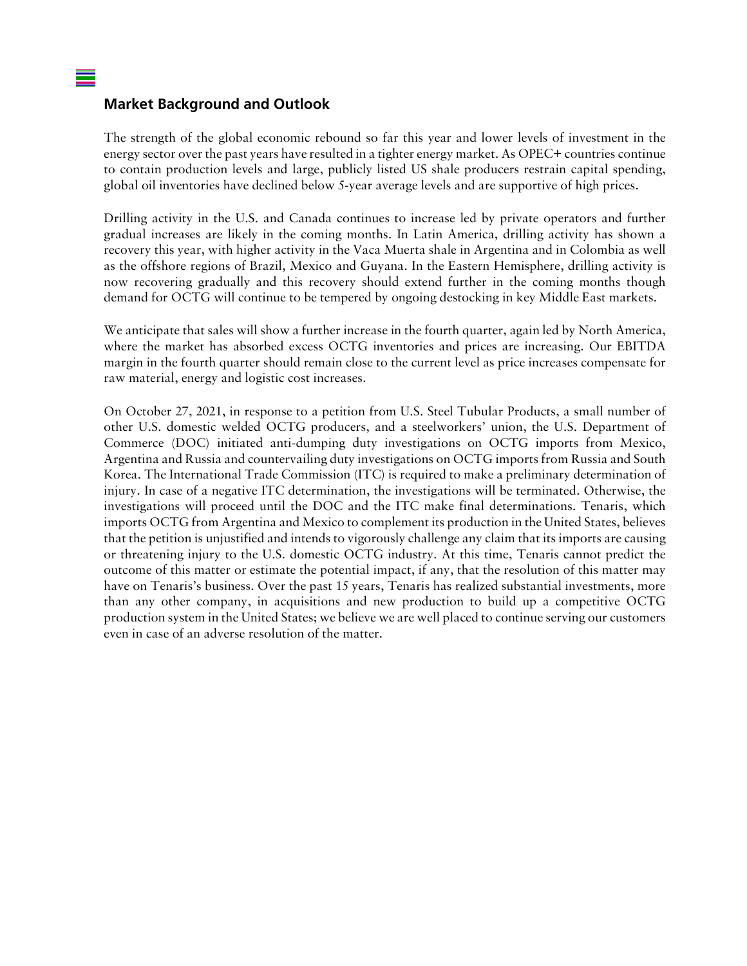#### **Market Background and Outlook**

The strength of the global economic rebound so far this year and lower levels of investment in the energy sector over the past years have resulted in a tighter energy market. As OPEC+ countries continue to contain production levels and large, publicly listed US shale producers restrain capital spending, global oil inventories have declined below 5-year average levels and are supportive of high prices.

Drilling activity in the U.S. and Canada continues to increase led by private operators and further gradual increases are likely in the coming months. In Latin America, drilling activity has shown a recovery this year, with higher activity in the Vaca Muerta shale in Argentina and in Colombia as well as the offshore regions of Brazil, Mexico and Guyana. In the Eastern Hemisphere, drilling activity is now recovering gradually and this recovery should extend further in the coming months though demand for OCTG will continue to be tempered by ongoing destocking in key Middle East markets.

We anticipate that sales will show a further increase in the fourth quarter, again led by North America, where the market has absorbed excess OCTG inventories and prices are increasing. Our EBITDA margin in the fourth quarter should remain close to the current level as price increases compensate for raw material, energy and logistic cost increases.

On October 27, 2021, in response to a petition from U.S. Steel Tubular Products, a small number of other U.S. domestic welded OCTG producers, and a steelworkers' union, the U.S. Department of Commerce (DOC) initiated anti-dumping duty investigations on OCTG imports from Mexico, Argentina and Russia and countervailing duty investigations on OCTG imports from Russia and South Korea. The International Trade Commission (ITC) is required to make a preliminary determination of injury. In case of a negative ITC determination, the investigations will be terminated. Otherwise, the investigations will proceed until the DOC and the ITC make final determinations. Tenaris, which imports OCTG from Argentina and Mexico to complement its production in the United States, believes that the petition is unjustified and intends to vigorously challenge any claim that its imports are causing or threatening injury to the U.S. domestic OCTG industry. At this time, Tenaris cannot predict the outcome of this matter or estimate the potential impact, if any, that the resolution of this matter may have on Tenaris's business. Over the past 15 years, Tenaris has realized substantial investments, more than any other company, in acquisitions and new production to build up a competitive OCTG production system in the United States; we believe we are well placed to continue serving our customers even in case of an adverse resolution of the matter.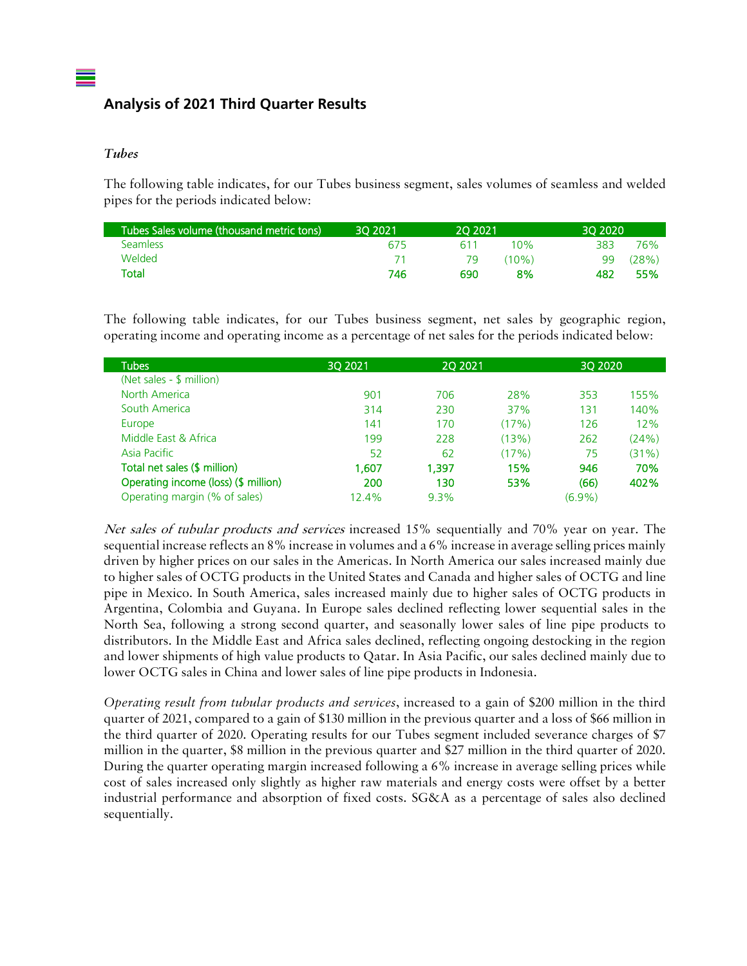# **Analysis of 2021 Third Quarter Results**

#### *Tubes*

The following table indicates, for our Tubes business segment, sales volumes of seamless and welded pipes for the periods indicated below:

| Tubes Sales volume (thousand metric tons) | 30 20 21 | 20 20 21 |          | 30 20 20 |       |
|-------------------------------------------|----------|----------|----------|----------|-------|
| <b>Seamless</b>                           | 675      | 611      | 10%      | 383      | 76%   |
| Welded                                    |          | 79       | $(10\%)$ | 99       | (28%) |
| Total                                     | 746      | 690      | 8%       | 482      | 55%   |

The following table indicates, for our Tubes business segment, net sales by geographic region, operating income and operating income as a percentage of net sales for the periods indicated below:

| Tubes                                | 30 20 21 | 20 20 21 |       | 30 20 20  |       |
|--------------------------------------|----------|----------|-------|-----------|-------|
| (Net sales - \$ million)             |          |          |       |           |       |
| North America                        | 901      | 706      | 28%   | 353       | 155%  |
| South America                        | 314      | 230      | 37%   | 131       | 140%  |
| Europe                               | 141      | 170      | (17%) | 126       | 12%   |
| Middle East & Africa                 | 199      | 228      | (13%) | 262       | (24%) |
| Asia Pacific                         | 52       | 62       | (17%) | 75        | (31%) |
| Total net sales (\$ million)         | 1,607    | 1.397    | 15%   | 946       | 70%   |
| Operating income (loss) (\$ million) | 200      | 130      | 53%   | (66)      | 402%  |
| Operating margin (% of sales)        | 12.4%    | $9.3\%$  |       | $(6.9\%)$ |       |

Net sales of tubular products and services increased 15% sequentially and 70% year on year. The sequential increase reflects an 8% increase in volumes and a 6% increase in average selling prices mainly driven by higher prices on our sales in the Americas. In North America our sales increased mainly due to higher sales of OCTG products in the United States and Canada and higher sales of OCTG and line pipe in Mexico. In South America, sales increased mainly due to higher sales of OCTG products in Argentina, Colombia and Guyana. In Europe sales declined reflecting lower sequential sales in the North Sea, following a strong second quarter, and seasonally lower sales of line pipe products to distributors. In the Middle East and Africa sales declined, reflecting ongoing destocking in the region and lower shipments of high value products to Qatar. In Asia Pacific, our sales declined mainly due to lower OCTG sales in China and lower sales of line pipe products in Indonesia.

*Operating result from tubular products and services*, increased to a gain of \$200 million in the third quarter of 2021, compared to a gain of \$130 million in the previous quarter and a loss of \$66 million in the third quarter of 2020. Operating results for our Tubes segment included severance charges of \$7 million in the quarter, \$8 million in the previous quarter and \$27 million in the third quarter of 2020. During the quarter operating margin increased following a 6% increase in average selling prices while cost of sales increased only slightly as higher raw materials and energy costs were offset by a better industrial performance and absorption of fixed costs. SG&A as a percentage of sales also declined sequentially.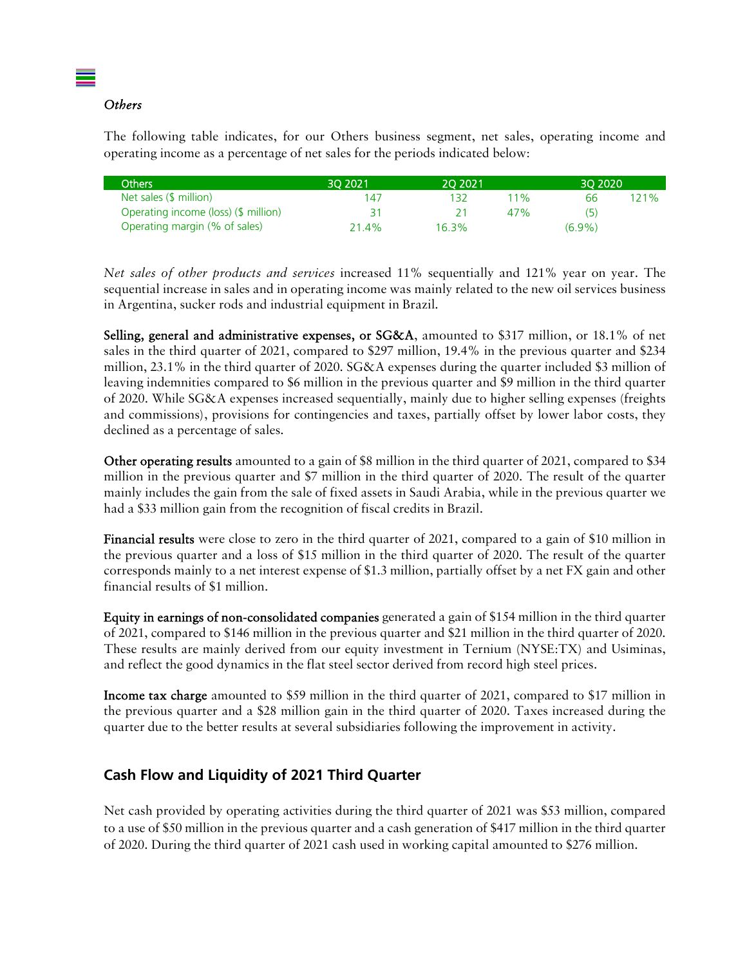#### *Others*

The following table indicates, for our Others business segment, net sales, operating income and operating income as a percentage of net sales for the periods indicated below:

| Others                               | 30 20 21 | 20 20 21 |        | 30 20 20  |         |
|--------------------------------------|----------|----------|--------|-----------|---------|
| Net sales (\$ million)               | 147      | ' 32.    | $11\%$ | ჩჩ        | $121\%$ |
| Operating income (loss) (\$ million) |          |          | 47%    | (خ)       |         |
| Operating margin (% of sales)        | 21 4%    | 16.3%    |        | $(6.9\%)$ |         |

*Net sales of other products and services* increased 11% sequentially and 121% year on year. The sequential increase in sales and in operating income was mainly related to the new oil services business in Argentina, sucker rods and industrial equipment in Brazil.

Selling, general and administrative expenses, or SG&A, amounted to \$317 million, or 18.1% of net sales in the third quarter of 2021, compared to \$297 million, 19.4% in the previous quarter and \$234 million, 23.1% in the third quarter of 2020. SG&A expenses during the quarter included \$3 million of leaving indemnities compared to \$6 million in the previous quarter and \$9 million in the third quarter of 2020. While SG&A expenses increased sequentially, mainly due to higher selling expenses (freights and commissions), provisions for contingencies and taxes, partially offset by lower labor costs, they declined as a percentage of sales.

Other operating results amounted to a gain of \$8 million in the third quarter of 2021, compared to \$34 million in the previous quarter and \$7 million in the third quarter of 2020. The result of the quarter mainly includes the gain from the sale of fixed assets in Saudi Arabia, while in the previous quarter we had a \$33 million gain from the recognition of fiscal credits in Brazil.

Financial results were close to zero in the third quarter of 2021, compared to a gain of \$10 million in the previous quarter and a loss of \$15 million in the third quarter of 2020. The result of the quarter corresponds mainly to a net interest expense of \$1.3 million, partially offset by a net FX gain and other financial results of \$1 million.

Equity in earnings of non-consolidated companies generated a gain of \$154 million in the third quarter of 2021, compared to \$146 million in the previous quarter and \$21 million in the third quarter of 2020. These results are mainly derived from our equity investment in Ternium (NYSE:TX) and Usiminas, and reflect the good dynamics in the flat steel sector derived from record high steel prices.

Income tax charge amounted to \$59 million in the third quarter of 2021, compared to \$17 million in the previous quarter and a \$28 million gain in the third quarter of 2020. Taxes increased during the quarter due to the better results at several subsidiaries following the improvement in activity.

#### **Cash Flow and Liquidity of 2021 Third Quarter**

Net cash provided by operating activities during the third quarter of 2021 was \$53 million, compared to a use of \$50 million in the previous quarter and a cash generation of \$417 million in the third quarter of 2020. During the third quarter of 2021 cash used in working capital amounted to \$276 million.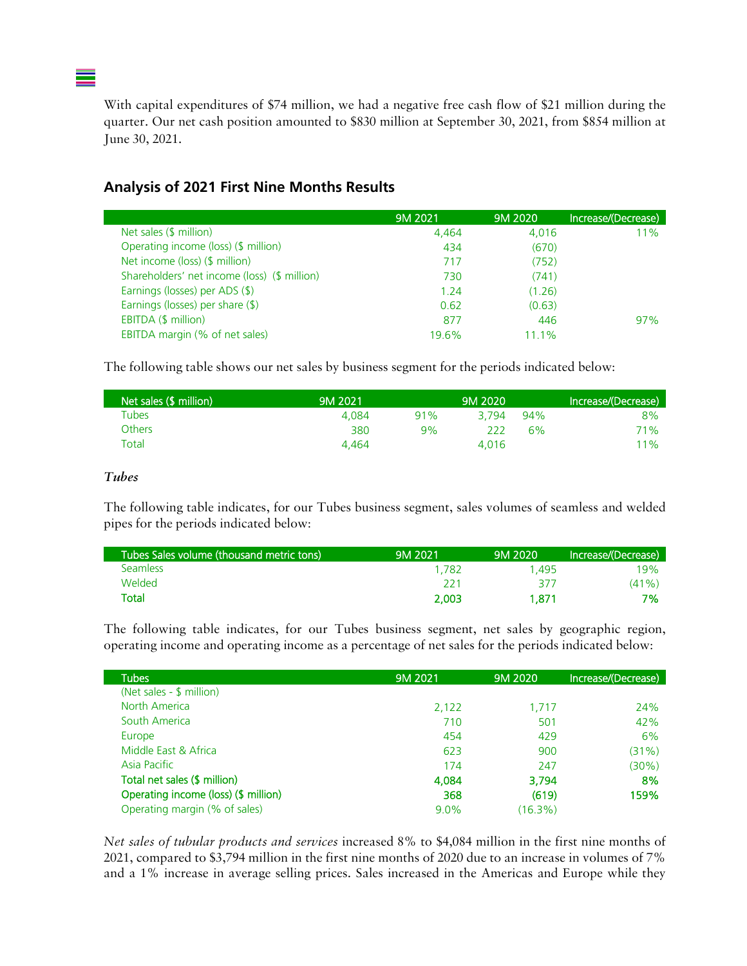With capital expenditures of \$74 million, we had a negative free cash flow of \$21 million during the quarter. Our net cash position amounted to \$830 million at September 30, 2021, from \$854 million at June 30, 2021.

### **Analysis of 2021 First Nine Months Results**

|                                              | 9M 2021 | 9M 2020 | Increase/(Decrease) |
|----------------------------------------------|---------|---------|---------------------|
| Net sales (\$ million)                       | 4,464   | 4.016   | 11%                 |
| Operating income (loss) (\$ million)         | 434     | (670)   |                     |
| Net income (loss) (\$ million)               | 717     | (752)   |                     |
| Shareholders' net income (loss) (\$ million) | 730     | (741)   |                     |
| Earnings (losses) per ADS (\$)               | 1.24    | (1.26)  |                     |
| Earnings (losses) per share (\$)             | 0.62    | (0.63)  |                     |
| EBITDA (\$ million)                          | 877     | 446     | 97%                 |
| EBITDA margin (% of net sales)               | 19.6%   | 11 1%   |                     |

The following table shows our net sales by business segment for the periods indicated below:

| Net sales (\$ million) | 9M 2021 |     | 9M 2020 |     | Increase/(Decrease) |
|------------------------|---------|-----|---------|-----|---------------------|
| Tubes                  | 4.084   | 91% | 3.794   | 94% | 8%                  |
| <b>Others</b>          | 380     | 9%  | 222     | 6%  | <b>71%</b>          |
| Total                  | 4.464   |     | 4.016   |     | $11\%$              |

#### *Tubes*

The following table indicates, for our Tubes business segment, sales volumes of seamless and welded pipes for the periods indicated below:

| Tubes Sales volume (thousand metric tons) | 9M 2021 | 9M 2020 | Increase/(Decrease) |
|-------------------------------------------|---------|---------|---------------------|
| <b>Seamless</b>                           | 1.782   | 1.495   | 19%                 |
| Welded                                    | 221     | 377     | $(41\%)$            |
| Total                                     | 2.003   | 1.871   | 7%                  |

The following table indicates, for our Tubes business segment, net sales by geographic region, operating income and operating income as a percentage of net sales for the periods indicated below:

| <b>Tubes</b>                         | 9M 2021 | 9M 2020 | Increase/(Decrease) |
|--------------------------------------|---------|---------|---------------------|
| (Net sales - \$ million)             |         |         |                     |
| North America                        | 2,122   | 1.717   | 24%                 |
| South America                        | 710     | 501     | 42%                 |
| Europe                               | 454     | 429     | 6%                  |
| Middle East & Africa                 | 623     | 900     | (31%)               |
| Asia Pacific                         | 174     | 247     | (30%)               |
| Total net sales (\$ million)         | 4,084   | 3,794   | 8%                  |
| Operating income (loss) (\$ million) | 368     | (619)   | 159%                |
| Operating margin (% of sales)        | $9.0\%$ | (16.3%) |                     |

*Net sales of tubular products and services* increased 8% to \$4,084 million in the first nine months of 2021, compared to \$3,794 million in the first nine months of 2020 due to an increase in volumes of 7% and a 1% increase in average selling prices. Sales increased in the Americas and Europe while they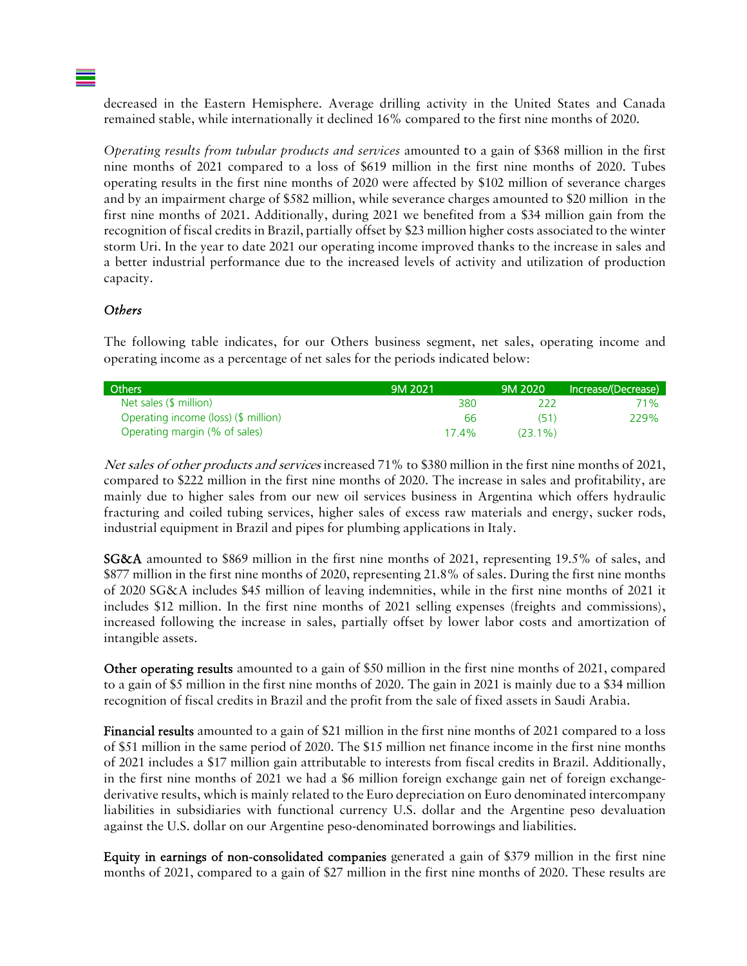decreased in the Eastern Hemisphere. Average drilling activity in the United States and Canada remained stable, while internationally it declined 16% compared to the first nine months of 2020.

*Operating results from tubular products and services* amounted to a gain of \$368 million in the first nine months of 2021 compared to a loss of \$619 million in the first nine months of 2020. Tubes operating results in the first nine months of 2020 were affected by \$102 million of severance charges and by an impairment charge of \$582 million, while severance charges amounted to \$20 million in the first nine months of 2021. Additionally, during 2021 we benefited from a \$34 million gain from the recognition of fiscal credits in Brazil, partially offset by \$23 million higher costs associated to the winter storm Uri. In the year to date 2021 our operating income improved thanks to the increase in sales and a better industrial performance due to the increased levels of activity and utilization of production capacity.

#### *Others*

The following table indicates, for our Others business segment, net sales, operating income and operating income as a percentage of net sales for the periods indicated below:

| <b>Others</b>                        | 9M 2021  | 9M 2020    | Increase/(Decrease) |
|--------------------------------------|----------|------------|---------------------|
| Net sales (\$ million)               | 380      |            | 71%                 |
| Operating income (loss) (\$ million) | 66       | (51)       | 229%                |
| Operating margin (% of sales)        | $17.4\%$ | $(23.1\%)$ |                     |

Net sales of other products and services increased 71% to \$380 million in the first nine months of 2021, compared to \$222 million in the first nine months of 2020. The increase in sales and profitability, are mainly due to higher sales from our new oil services business in Argentina which offers hydraulic fracturing and coiled tubing services, higher sales of excess raw materials and energy, sucker rods, industrial equipment in Brazil and pipes for plumbing applications in Italy.

SG&A amounted to \$869 million in the first nine months of 2021, representing 19.5% of sales, and \$877 million in the first nine months of 2020, representing 21.8% of sales. During the first nine months of 2020 SG&A includes \$45 million of leaving indemnities, while in the first nine months of 2021 it includes \$12 million. In the first nine months of 2021 selling expenses (freights and commissions), increased following the increase in sales, partially offset by lower labor costs and amortization of intangible assets.

Other operating results amounted to a gain of \$50 million in the first nine months of 2021, compared to a gain of \$5 million in the first nine months of 2020. The gain in 2021 is mainly due to a \$34 million recognition of fiscal credits in Brazil and the profit from the sale of fixed assets in Saudi Arabia.

Financial results amounted to a gain of \$21 million in the first nine months of 2021 compared to a loss of \$51 million in the same period of 2020. The \$15 million net finance income in the first nine months of 2021 includes a \$17 million gain attributable to interests from fiscal credits in Brazil. Additionally, in the first nine months of 2021 we had a \$6 million foreign exchange gain net of foreign exchangederivative results, which is mainly related to the Euro depreciation on Euro denominated intercompany liabilities in subsidiaries with functional currency U.S. dollar and the Argentine peso devaluation against the U.S. dollar on our Argentine peso-denominated borrowings and liabilities.

Equity in earnings of non-consolidated companies generated a gain of \$379 million in the first nine months of 2021, compared to a gain of \$27 million in the first nine months of 2020. These results are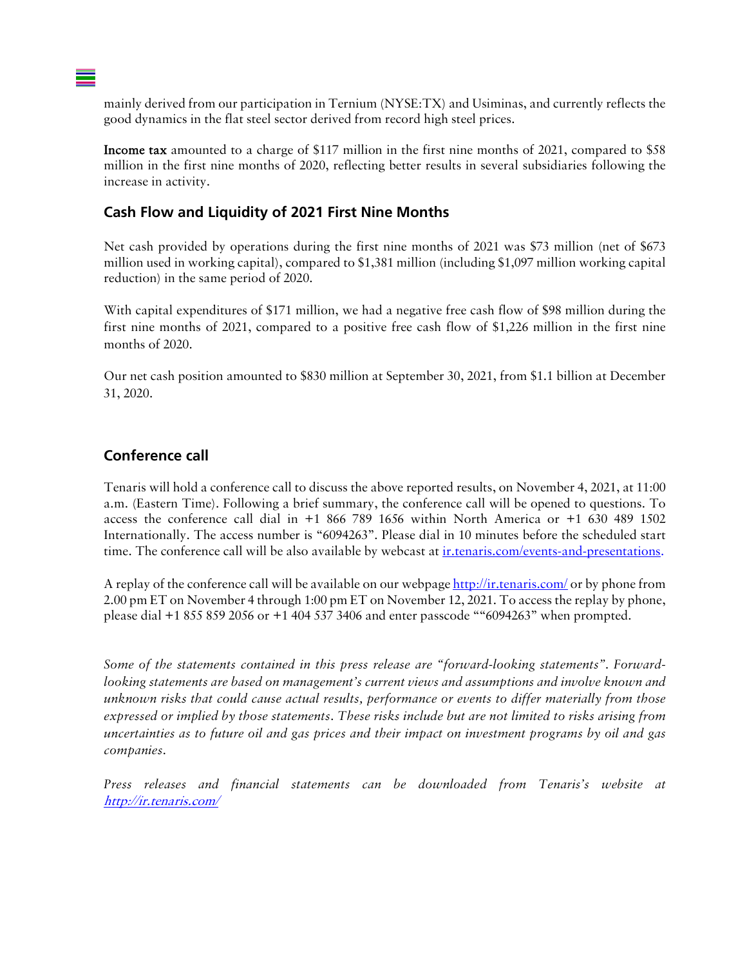mainly derived from our participation in Ternium (NYSE:TX) and Usiminas, and currently reflects the good dynamics in the flat steel sector derived from record high steel prices.

Income tax amounted to a charge of \$117 million in the first nine months of 2021, compared to \$58 million in the first nine months of 2020, reflecting better results in several subsidiaries following the increase in activity.

#### **Cash Flow and Liquidity of 2021 First Nine Months**

Net cash provided by operations during the first nine months of 2021 was \$73 million (net of \$673 million used in working capital), compared to \$1,381 million (including \$1,097 million working capital reduction) in the same period of 2020.

With capital expenditures of \$171 million, we had a negative free cash flow of \$98 million during the first nine months of 2021, compared to a positive free cash flow of \$1,226 million in the first nine months of 2020.

Our net cash position amounted to \$830 million at September 30, 2021, from \$1.1 billion at December 31, 2020.

### **Conference call**

Tenaris will hold a conference call to discuss the above reported results, on November 4, 2021, at 11:00 a.m. (Eastern Time). Following a brief summary, the conference call will be opened to questions. To access the conference call dial in  $+1$  866 789 1656 within North America or  $+1$  630 489 1502 Internationally. The access number is "6094263". Please dial in 10 minutes before the scheduled start time. The conference call will be also available by webcast at ir.tenaris.com/events-and-presentations.

A replay of the conference call will be available on our webpage http://ir.tenaris.com/ or by phone from 2.00 pm ET on November 4 through 1:00 pm ET on November 12, 2021. To access the replay by phone, please dial +1 855 859 2056 or +1 404 537 3406 and enter passcode ""6094263" when prompted.

*Some of the statements contained in this press release are "forward-looking statements". Forwardlooking statements are based on management's current views and assumptions and involve known and unknown risks that could cause actual results, performance or events to differ materially from those expressed or implied by those statements. These risks include but are not limited to risks arising from uncertainties as to future oil and gas prices and their impact on investment programs by oil and gas companies.*

*Press releases and financial statements can be downloaded from Tenaris's website at* http://ir.tenaris.com/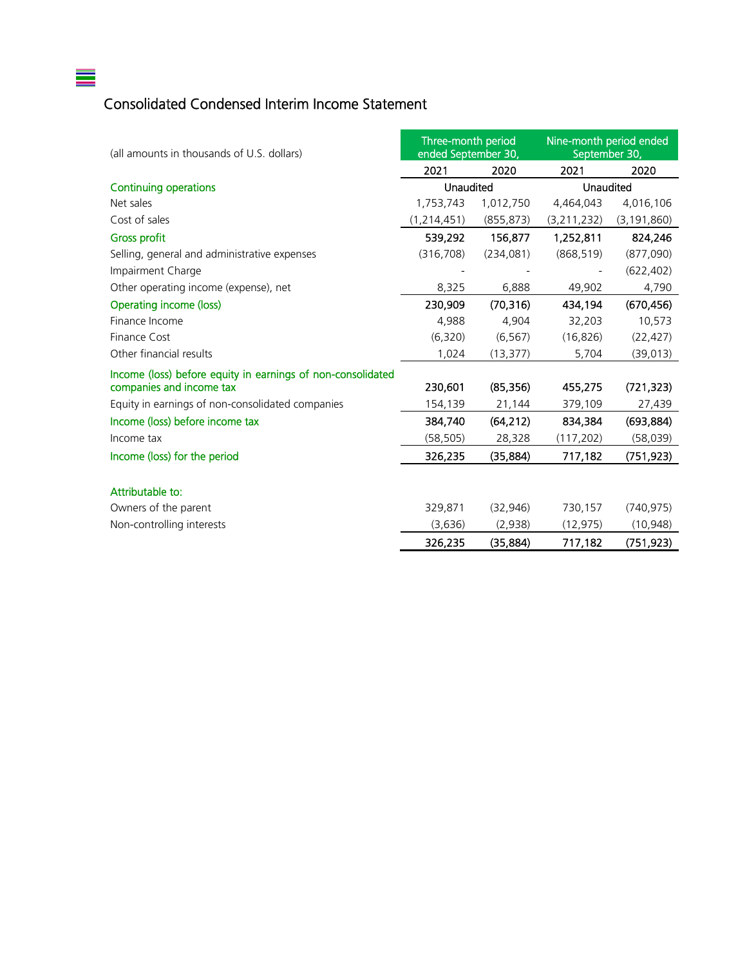# Consolidated Condensed Interim Income Statement

 $\equiv$ 

| (all amounts in thousands of U.S. dollars)                  | Three-month period<br>ended September 30, |            | Nine-month period ended<br>September 30, |               |
|-------------------------------------------------------------|-------------------------------------------|------------|------------------------------------------|---------------|
|                                                             | 2021                                      | 2020       | 2021                                     | 2020          |
| <b>Continuing operations</b>                                | Unaudited                                 |            | Unaudited                                |               |
| Net sales                                                   | 1,753,743                                 | 1,012,750  | 4,464,043                                | 4,016,106     |
| Cost of sales                                               | (1, 214, 451)                             | (855, 873) | (3, 211, 232)                            | (3, 191, 860) |
| <b>Gross profit</b>                                         | 539,292                                   | 156,877    | 1,252,811                                | 824,246       |
| Selling, general and administrative expenses                | (316, 708)                                | (234,081)  | (868, 519)                               | (877,090)     |
| Impairment Charge                                           |                                           |            |                                          | (622, 402)    |
| Other operating income (expense), net                       | 8,325                                     | 6,888      | 49,902                                   | 4,790         |
| Operating income (loss)                                     | 230,909                                   | (70, 316)  | 434,194                                  | (670, 456)    |
| Finance Income                                              | 4,988                                     | 4,904      | 32,203                                   | 10,573        |
| Finance Cost                                                | (6,320)                                   | (6, 567)   | (16, 826)                                | (22, 427)     |
| Other financial results                                     | 1,024                                     | (13, 377)  | 5,704                                    | (39, 013)     |
| Income (loss) before equity in earnings of non-consolidated |                                           |            |                                          |               |
| companies and income tax                                    | 230,601                                   | (85, 356)  | 455,275                                  | (721, 323)    |
| Equity in earnings of non-consolidated companies            | 154,139                                   | 21,144     | 379,109                                  | 27,439        |
| Income (loss) before income tax                             | 384,740                                   | (64, 212)  | 834,384                                  | (693, 884)    |
| Income tax                                                  | (58, 505)                                 | 28,328     | (117, 202)                               | (58, 039)     |
| Income (loss) for the period                                | 326,235                                   | (35, 884)  | 717,182                                  | (751, 923)    |
|                                                             |                                           |            |                                          |               |
| Attributable to:                                            |                                           |            |                                          |               |
| Owners of the parent                                        | 329,871                                   | (32, 946)  | 730,157                                  | (740, 975)    |
| Non-controlling interests                                   | (3,636)                                   | (2,938)    | (12, 975)                                | (10, 948)     |
|                                                             | 326,235                                   | (35, 884)  | 717,182                                  | (751, 923)    |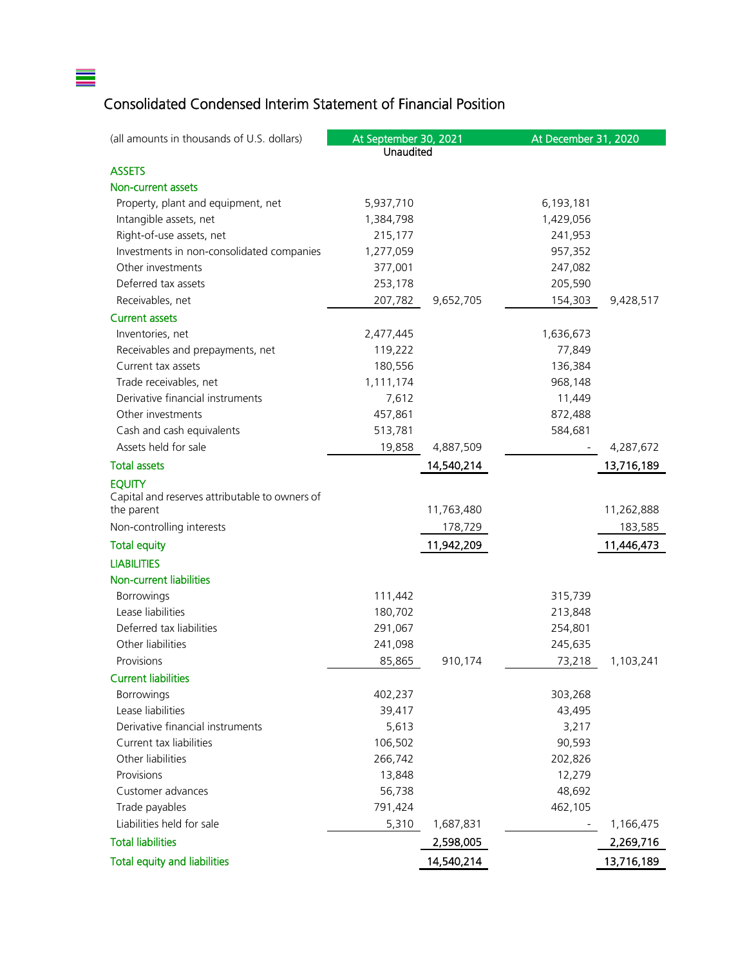# Consolidated Condensed Interim Statement of Financial Position

 $\equiv$ 

| (all amounts in thousands of U.S. dollars)     | At September 30, 2021 |            | At December 31, 2020 |            |
|------------------------------------------------|-----------------------|------------|----------------------|------------|
|                                                | Unaudited             |            |                      |            |
| <b>ASSETS</b>                                  |                       |            |                      |            |
| Non-current assets                             |                       |            |                      |            |
| Property, plant and equipment, net             | 5,937,710             |            | 6,193,181            |            |
| Intangible assets, net                         | 1,384,798             |            | 1,429,056            |            |
| Right-of-use assets, net                       | 215,177               |            | 241,953              |            |
| Investments in non-consolidated companies      | 1,277,059             |            | 957,352              |            |
| Other investments                              | 377,001               |            | 247,082              |            |
| Deferred tax assets                            | 253,178               |            | 205,590              |            |
| Receivables, net                               | 207,782               | 9,652,705  | 154,303              | 9,428,517  |
| <b>Current assets</b>                          |                       |            |                      |            |
| Inventories, net                               | 2,477,445             |            | 1,636,673            |            |
| Receivables and prepayments, net               | 119,222               |            | 77,849               |            |
| Current tax assets                             | 180,556               |            | 136,384              |            |
| Trade receivables, net                         | 1,111,174             |            | 968,148              |            |
| Derivative financial instruments               | 7,612                 |            | 11,449               |            |
| Other investments                              | 457,861               |            | 872,488              |            |
| Cash and cash equivalents                      | 513,781               |            | 584,681              |            |
| Assets held for sale                           | 19,858                | 4,887,509  |                      | 4,287,672  |
| <b>Total assets</b>                            |                       | 14,540,214 |                      | 13,716,189 |
| <b>EQUITY</b>                                  |                       |            |                      |            |
| Capital and reserves attributable to owners of |                       |            |                      |            |
| the parent                                     |                       | 11,763,480 |                      | 11,262,888 |
| Non-controlling interests                      |                       | 178,729    |                      | 183,585    |
| <b>Total equity</b>                            |                       | 11,942,209 |                      | 11,446,473 |
| <b>LIABILITIES</b>                             |                       |            |                      |            |
| <b>Non-current liabilities</b>                 |                       |            |                      |            |
| Borrowings                                     | 111,442               |            | 315,739              |            |
| Lease liabilities                              | 180,702               |            | 213,848              |            |
| Deferred tax liabilities                       | 291,067               |            | 254,801              |            |
| Other liabilities                              | 241,098               |            | 245,635              |            |
| Provisions                                     | 85,865                | 910,174    | 73,218               | 1,103,241  |
| <b>Current liabilities</b>                     |                       |            |                      |            |
| Borrowings                                     | 402,237               |            | 303,268              |            |
| Lease liabilities                              | 39,417                |            | 43,495               |            |
| Derivative financial instruments               | 5,613                 |            | 3,217                |            |
| Current tax liabilities                        | 106,502               |            | 90,593               |            |
| Other liabilities                              | 266,742               |            | 202,826              |            |
| Provisions                                     | 13,848                |            | 12,279               |            |
| Customer advances                              | 56,738                |            | 48,692               |            |
| Trade payables                                 | 791,424               |            | 462,105              |            |
| Liabilities held for sale                      | 5,310                 | 1,687,831  |                      | 1,166,475  |
| <b>Total liabilities</b>                       |                       | 2,598,005  |                      | 2,269,716  |
| <b>Total equity and liabilities</b>            |                       | 14,540,214 |                      | 13,716,189 |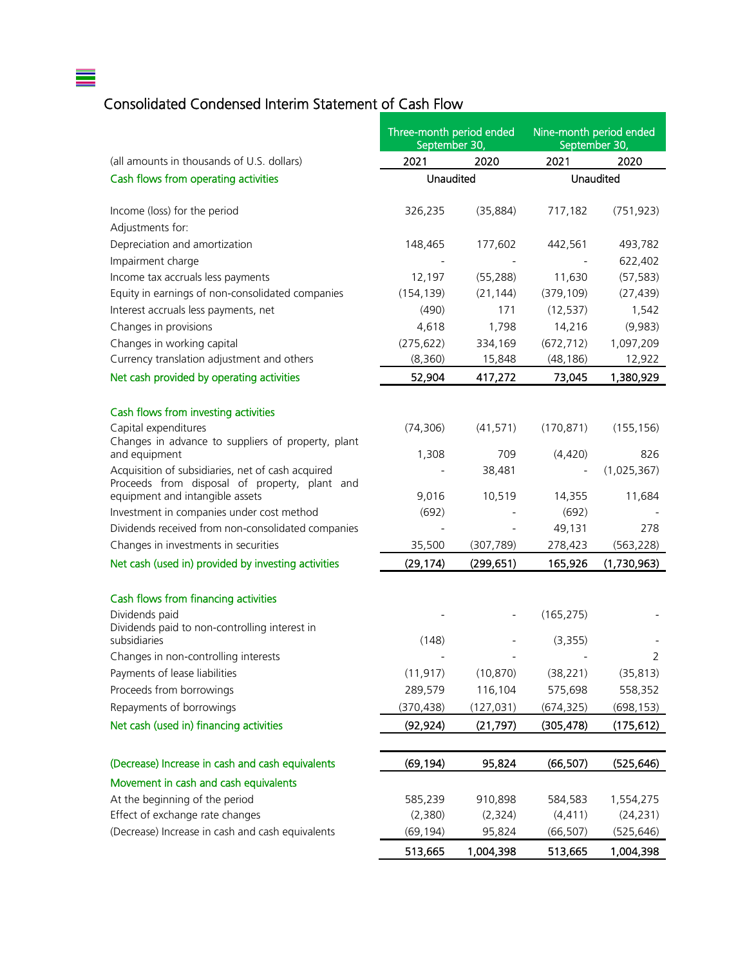# Consolidated Condensed Interim Statement of Cash Flow

 $\equiv$ 

| 2020<br>2020<br>(all amounts in thousands of U.S. dollars)<br>2021<br>2021<br>Unaudited<br>Cash flows from operating activities<br>Unaudited<br>Income (loss) for the period<br>326,235<br>(35, 884)<br>717,182<br>(751, 923)<br>Adjustments for:<br>Depreciation and amortization<br>148,465<br>177,602<br>442,561<br>493,782<br>Impairment charge<br>622,402<br>(55, 288)<br>(57, 583)<br>Income tax accruals less payments<br>12,197<br>11,630<br>Equity in earnings of non-consolidated companies<br>(154, 139)<br>(379, 109)<br>(27, 439)<br>(21, 144)<br>Interest accruals less payments, net<br>(490)<br>171<br>1,542<br>(12, 537)<br>Changes in provisions<br>4,618<br>14,216<br>(9,983)<br>1,798<br>Changes in working capital<br>(275, 622)<br>334,169<br>(672, 712)<br>1,097,209<br>Currency translation adjustment and others<br>(8,360)<br>15,848<br>(48, 186)<br>12,922<br>52,904<br>Net cash provided by operating activities<br>1,380,929<br>417,272<br>73,045<br>Cash flows from investing activities<br>Capital expenditures<br>(74, 306)<br>(41, 571)<br>(170, 871)<br>(155, 156)<br>Changes in advance to suppliers of property, plant<br>1,308<br>709<br>(4,420)<br>and equipment<br>826<br>Acquisition of subsidiaries, net of cash acquired<br>(1,025,367)<br>38,481<br>Proceeds from disposal of property, plant and<br>equipment and intangible assets<br>9,016<br>10,519<br>14,355<br>11,684<br>Investment in companies under cost method<br>(692)<br>(692)<br>Dividends received from non-consolidated companies<br>49,131<br>278<br>Changes in investments in securities<br>35,500<br>(563, 228)<br>(307, 789)<br>278,423<br>Net cash (used in) provided by investing activities<br>(29, 174)<br>(299, 651)<br>165,926<br>(1,730,963)<br>Cash flows from financing activities<br>Dividends paid<br>(165, 275)<br>Dividends paid to non-controlling interest in<br>subsidiaries<br>(148)<br>(3,355)<br>2<br>Changes in non-controlling interests<br>Payments of lease liabilities<br>(11, 917)<br>(10, 870)<br>(38, 221)<br>(35, 813)<br>Proceeds from borrowings<br>289,579<br>116,104<br>575,698<br>558,352<br>Repayments of borrowings<br>(370, 438)<br>(127, 031)<br>(674, 325)<br>(698, 153)<br>Net cash (used in) financing activities<br>(92, 924)<br>(21, 797)<br>(305, 478)<br>(175, 612)<br>(Decrease) Increase in cash and cash equivalents<br>(69, 194)<br>95,824<br>(66, 507)<br>(525, 646)<br>Movement in cash and cash equivalents<br>At the beginning of the period<br>910,898<br>585,239<br>584,583<br>1,554,275<br>Effect of exchange rate changes<br>(4, 411)<br>(2,380)<br>(2, 324)<br>(24, 231)<br>(Decrease) Increase in cash and cash equivalents<br>(69, 194)<br>95,824<br>(66, 507)<br>(525, 646) | Three-month period ended<br>September 30, |  | Nine-month period ended<br>September 30, |  |
|-------------------------------------------------------------------------------------------------------------------------------------------------------------------------------------------------------------------------------------------------------------------------------------------------------------------------------------------------------------------------------------------------------------------------------------------------------------------------------------------------------------------------------------------------------------------------------------------------------------------------------------------------------------------------------------------------------------------------------------------------------------------------------------------------------------------------------------------------------------------------------------------------------------------------------------------------------------------------------------------------------------------------------------------------------------------------------------------------------------------------------------------------------------------------------------------------------------------------------------------------------------------------------------------------------------------------------------------------------------------------------------------------------------------------------------------------------------------------------------------------------------------------------------------------------------------------------------------------------------------------------------------------------------------------------------------------------------------------------------------------------------------------------------------------------------------------------------------------------------------------------------------------------------------------------------------------------------------------------------------------------------------------------------------------------------------------------------------------------------------------------------------------------------------------------------------------------------------------------------------------------------------------------------------------------------------------------------------------------------------------------------------------------------------------------------------------------------------------------------------------------------------------------------------------------------------------------------------------------------------------------------------------------------------------------------------------------------------------------------------------------|-------------------------------------------|--|------------------------------------------|--|
|                                                                                                                                                                                                                                                                                                                                                                                                                                                                                                                                                                                                                                                                                                                                                                                                                                                                                                                                                                                                                                                                                                                                                                                                                                                                                                                                                                                                                                                                                                                                                                                                                                                                                                                                                                                                                                                                                                                                                                                                                                                                                                                                                                                                                                                                                                                                                                                                                                                                                                                                                                                                                                                                                                                                                       |                                           |  |                                          |  |
|                                                                                                                                                                                                                                                                                                                                                                                                                                                                                                                                                                                                                                                                                                                                                                                                                                                                                                                                                                                                                                                                                                                                                                                                                                                                                                                                                                                                                                                                                                                                                                                                                                                                                                                                                                                                                                                                                                                                                                                                                                                                                                                                                                                                                                                                                                                                                                                                                                                                                                                                                                                                                                                                                                                                                       |                                           |  |                                          |  |
|                                                                                                                                                                                                                                                                                                                                                                                                                                                                                                                                                                                                                                                                                                                                                                                                                                                                                                                                                                                                                                                                                                                                                                                                                                                                                                                                                                                                                                                                                                                                                                                                                                                                                                                                                                                                                                                                                                                                                                                                                                                                                                                                                                                                                                                                                                                                                                                                                                                                                                                                                                                                                                                                                                                                                       |                                           |  |                                          |  |
|                                                                                                                                                                                                                                                                                                                                                                                                                                                                                                                                                                                                                                                                                                                                                                                                                                                                                                                                                                                                                                                                                                                                                                                                                                                                                                                                                                                                                                                                                                                                                                                                                                                                                                                                                                                                                                                                                                                                                                                                                                                                                                                                                                                                                                                                                                                                                                                                                                                                                                                                                                                                                                                                                                                                                       |                                           |  |                                          |  |
|                                                                                                                                                                                                                                                                                                                                                                                                                                                                                                                                                                                                                                                                                                                                                                                                                                                                                                                                                                                                                                                                                                                                                                                                                                                                                                                                                                                                                                                                                                                                                                                                                                                                                                                                                                                                                                                                                                                                                                                                                                                                                                                                                                                                                                                                                                                                                                                                                                                                                                                                                                                                                                                                                                                                                       |                                           |  |                                          |  |
|                                                                                                                                                                                                                                                                                                                                                                                                                                                                                                                                                                                                                                                                                                                                                                                                                                                                                                                                                                                                                                                                                                                                                                                                                                                                                                                                                                                                                                                                                                                                                                                                                                                                                                                                                                                                                                                                                                                                                                                                                                                                                                                                                                                                                                                                                                                                                                                                                                                                                                                                                                                                                                                                                                                                                       |                                           |  |                                          |  |
|                                                                                                                                                                                                                                                                                                                                                                                                                                                                                                                                                                                                                                                                                                                                                                                                                                                                                                                                                                                                                                                                                                                                                                                                                                                                                                                                                                                                                                                                                                                                                                                                                                                                                                                                                                                                                                                                                                                                                                                                                                                                                                                                                                                                                                                                                                                                                                                                                                                                                                                                                                                                                                                                                                                                                       |                                           |  |                                          |  |
|                                                                                                                                                                                                                                                                                                                                                                                                                                                                                                                                                                                                                                                                                                                                                                                                                                                                                                                                                                                                                                                                                                                                                                                                                                                                                                                                                                                                                                                                                                                                                                                                                                                                                                                                                                                                                                                                                                                                                                                                                                                                                                                                                                                                                                                                                                                                                                                                                                                                                                                                                                                                                                                                                                                                                       |                                           |  |                                          |  |
|                                                                                                                                                                                                                                                                                                                                                                                                                                                                                                                                                                                                                                                                                                                                                                                                                                                                                                                                                                                                                                                                                                                                                                                                                                                                                                                                                                                                                                                                                                                                                                                                                                                                                                                                                                                                                                                                                                                                                                                                                                                                                                                                                                                                                                                                                                                                                                                                                                                                                                                                                                                                                                                                                                                                                       |                                           |  |                                          |  |
|                                                                                                                                                                                                                                                                                                                                                                                                                                                                                                                                                                                                                                                                                                                                                                                                                                                                                                                                                                                                                                                                                                                                                                                                                                                                                                                                                                                                                                                                                                                                                                                                                                                                                                                                                                                                                                                                                                                                                                                                                                                                                                                                                                                                                                                                                                                                                                                                                                                                                                                                                                                                                                                                                                                                                       |                                           |  |                                          |  |
|                                                                                                                                                                                                                                                                                                                                                                                                                                                                                                                                                                                                                                                                                                                                                                                                                                                                                                                                                                                                                                                                                                                                                                                                                                                                                                                                                                                                                                                                                                                                                                                                                                                                                                                                                                                                                                                                                                                                                                                                                                                                                                                                                                                                                                                                                                                                                                                                                                                                                                                                                                                                                                                                                                                                                       |                                           |  |                                          |  |
|                                                                                                                                                                                                                                                                                                                                                                                                                                                                                                                                                                                                                                                                                                                                                                                                                                                                                                                                                                                                                                                                                                                                                                                                                                                                                                                                                                                                                                                                                                                                                                                                                                                                                                                                                                                                                                                                                                                                                                                                                                                                                                                                                                                                                                                                                                                                                                                                                                                                                                                                                                                                                                                                                                                                                       |                                           |  |                                          |  |
|                                                                                                                                                                                                                                                                                                                                                                                                                                                                                                                                                                                                                                                                                                                                                                                                                                                                                                                                                                                                                                                                                                                                                                                                                                                                                                                                                                                                                                                                                                                                                                                                                                                                                                                                                                                                                                                                                                                                                                                                                                                                                                                                                                                                                                                                                                                                                                                                                                                                                                                                                                                                                                                                                                                                                       |                                           |  |                                          |  |
|                                                                                                                                                                                                                                                                                                                                                                                                                                                                                                                                                                                                                                                                                                                                                                                                                                                                                                                                                                                                                                                                                                                                                                                                                                                                                                                                                                                                                                                                                                                                                                                                                                                                                                                                                                                                                                                                                                                                                                                                                                                                                                                                                                                                                                                                                                                                                                                                                                                                                                                                                                                                                                                                                                                                                       |                                           |  |                                          |  |
|                                                                                                                                                                                                                                                                                                                                                                                                                                                                                                                                                                                                                                                                                                                                                                                                                                                                                                                                                                                                                                                                                                                                                                                                                                                                                                                                                                                                                                                                                                                                                                                                                                                                                                                                                                                                                                                                                                                                                                                                                                                                                                                                                                                                                                                                                                                                                                                                                                                                                                                                                                                                                                                                                                                                                       |                                           |  |                                          |  |
|                                                                                                                                                                                                                                                                                                                                                                                                                                                                                                                                                                                                                                                                                                                                                                                                                                                                                                                                                                                                                                                                                                                                                                                                                                                                                                                                                                                                                                                                                                                                                                                                                                                                                                                                                                                                                                                                                                                                                                                                                                                                                                                                                                                                                                                                                                                                                                                                                                                                                                                                                                                                                                                                                                                                                       |                                           |  |                                          |  |
|                                                                                                                                                                                                                                                                                                                                                                                                                                                                                                                                                                                                                                                                                                                                                                                                                                                                                                                                                                                                                                                                                                                                                                                                                                                                                                                                                                                                                                                                                                                                                                                                                                                                                                                                                                                                                                                                                                                                                                                                                                                                                                                                                                                                                                                                                                                                                                                                                                                                                                                                                                                                                                                                                                                                                       |                                           |  |                                          |  |
|                                                                                                                                                                                                                                                                                                                                                                                                                                                                                                                                                                                                                                                                                                                                                                                                                                                                                                                                                                                                                                                                                                                                                                                                                                                                                                                                                                                                                                                                                                                                                                                                                                                                                                                                                                                                                                                                                                                                                                                                                                                                                                                                                                                                                                                                                                                                                                                                                                                                                                                                                                                                                                                                                                                                                       |                                           |  |                                          |  |
|                                                                                                                                                                                                                                                                                                                                                                                                                                                                                                                                                                                                                                                                                                                                                                                                                                                                                                                                                                                                                                                                                                                                                                                                                                                                                                                                                                                                                                                                                                                                                                                                                                                                                                                                                                                                                                                                                                                                                                                                                                                                                                                                                                                                                                                                                                                                                                                                                                                                                                                                                                                                                                                                                                                                                       |                                           |  |                                          |  |
|                                                                                                                                                                                                                                                                                                                                                                                                                                                                                                                                                                                                                                                                                                                                                                                                                                                                                                                                                                                                                                                                                                                                                                                                                                                                                                                                                                                                                                                                                                                                                                                                                                                                                                                                                                                                                                                                                                                                                                                                                                                                                                                                                                                                                                                                                                                                                                                                                                                                                                                                                                                                                                                                                                                                                       |                                           |  |                                          |  |
|                                                                                                                                                                                                                                                                                                                                                                                                                                                                                                                                                                                                                                                                                                                                                                                                                                                                                                                                                                                                                                                                                                                                                                                                                                                                                                                                                                                                                                                                                                                                                                                                                                                                                                                                                                                                                                                                                                                                                                                                                                                                                                                                                                                                                                                                                                                                                                                                                                                                                                                                                                                                                                                                                                                                                       |                                           |  |                                          |  |
|                                                                                                                                                                                                                                                                                                                                                                                                                                                                                                                                                                                                                                                                                                                                                                                                                                                                                                                                                                                                                                                                                                                                                                                                                                                                                                                                                                                                                                                                                                                                                                                                                                                                                                                                                                                                                                                                                                                                                                                                                                                                                                                                                                                                                                                                                                                                                                                                                                                                                                                                                                                                                                                                                                                                                       |                                           |  |                                          |  |
|                                                                                                                                                                                                                                                                                                                                                                                                                                                                                                                                                                                                                                                                                                                                                                                                                                                                                                                                                                                                                                                                                                                                                                                                                                                                                                                                                                                                                                                                                                                                                                                                                                                                                                                                                                                                                                                                                                                                                                                                                                                                                                                                                                                                                                                                                                                                                                                                                                                                                                                                                                                                                                                                                                                                                       |                                           |  |                                          |  |
|                                                                                                                                                                                                                                                                                                                                                                                                                                                                                                                                                                                                                                                                                                                                                                                                                                                                                                                                                                                                                                                                                                                                                                                                                                                                                                                                                                                                                                                                                                                                                                                                                                                                                                                                                                                                                                                                                                                                                                                                                                                                                                                                                                                                                                                                                                                                                                                                                                                                                                                                                                                                                                                                                                                                                       |                                           |  |                                          |  |
|                                                                                                                                                                                                                                                                                                                                                                                                                                                                                                                                                                                                                                                                                                                                                                                                                                                                                                                                                                                                                                                                                                                                                                                                                                                                                                                                                                                                                                                                                                                                                                                                                                                                                                                                                                                                                                                                                                                                                                                                                                                                                                                                                                                                                                                                                                                                                                                                                                                                                                                                                                                                                                                                                                                                                       |                                           |  |                                          |  |
|                                                                                                                                                                                                                                                                                                                                                                                                                                                                                                                                                                                                                                                                                                                                                                                                                                                                                                                                                                                                                                                                                                                                                                                                                                                                                                                                                                                                                                                                                                                                                                                                                                                                                                                                                                                                                                                                                                                                                                                                                                                                                                                                                                                                                                                                                                                                                                                                                                                                                                                                                                                                                                                                                                                                                       |                                           |  |                                          |  |
|                                                                                                                                                                                                                                                                                                                                                                                                                                                                                                                                                                                                                                                                                                                                                                                                                                                                                                                                                                                                                                                                                                                                                                                                                                                                                                                                                                                                                                                                                                                                                                                                                                                                                                                                                                                                                                                                                                                                                                                                                                                                                                                                                                                                                                                                                                                                                                                                                                                                                                                                                                                                                                                                                                                                                       |                                           |  |                                          |  |
|                                                                                                                                                                                                                                                                                                                                                                                                                                                                                                                                                                                                                                                                                                                                                                                                                                                                                                                                                                                                                                                                                                                                                                                                                                                                                                                                                                                                                                                                                                                                                                                                                                                                                                                                                                                                                                                                                                                                                                                                                                                                                                                                                                                                                                                                                                                                                                                                                                                                                                                                                                                                                                                                                                                                                       |                                           |  |                                          |  |
|                                                                                                                                                                                                                                                                                                                                                                                                                                                                                                                                                                                                                                                                                                                                                                                                                                                                                                                                                                                                                                                                                                                                                                                                                                                                                                                                                                                                                                                                                                                                                                                                                                                                                                                                                                                                                                                                                                                                                                                                                                                                                                                                                                                                                                                                                                                                                                                                                                                                                                                                                                                                                                                                                                                                                       |                                           |  |                                          |  |
|                                                                                                                                                                                                                                                                                                                                                                                                                                                                                                                                                                                                                                                                                                                                                                                                                                                                                                                                                                                                                                                                                                                                                                                                                                                                                                                                                                                                                                                                                                                                                                                                                                                                                                                                                                                                                                                                                                                                                                                                                                                                                                                                                                                                                                                                                                                                                                                                                                                                                                                                                                                                                                                                                                                                                       |                                           |  |                                          |  |
|                                                                                                                                                                                                                                                                                                                                                                                                                                                                                                                                                                                                                                                                                                                                                                                                                                                                                                                                                                                                                                                                                                                                                                                                                                                                                                                                                                                                                                                                                                                                                                                                                                                                                                                                                                                                                                                                                                                                                                                                                                                                                                                                                                                                                                                                                                                                                                                                                                                                                                                                                                                                                                                                                                                                                       |                                           |  |                                          |  |
|                                                                                                                                                                                                                                                                                                                                                                                                                                                                                                                                                                                                                                                                                                                                                                                                                                                                                                                                                                                                                                                                                                                                                                                                                                                                                                                                                                                                                                                                                                                                                                                                                                                                                                                                                                                                                                                                                                                                                                                                                                                                                                                                                                                                                                                                                                                                                                                                                                                                                                                                                                                                                                                                                                                                                       |                                           |  |                                          |  |
|                                                                                                                                                                                                                                                                                                                                                                                                                                                                                                                                                                                                                                                                                                                                                                                                                                                                                                                                                                                                                                                                                                                                                                                                                                                                                                                                                                                                                                                                                                                                                                                                                                                                                                                                                                                                                                                                                                                                                                                                                                                                                                                                                                                                                                                                                                                                                                                                                                                                                                                                                                                                                                                                                                                                                       |                                           |  |                                          |  |
|                                                                                                                                                                                                                                                                                                                                                                                                                                                                                                                                                                                                                                                                                                                                                                                                                                                                                                                                                                                                                                                                                                                                                                                                                                                                                                                                                                                                                                                                                                                                                                                                                                                                                                                                                                                                                                                                                                                                                                                                                                                                                                                                                                                                                                                                                                                                                                                                                                                                                                                                                                                                                                                                                                                                                       |                                           |  |                                          |  |
|                                                                                                                                                                                                                                                                                                                                                                                                                                                                                                                                                                                                                                                                                                                                                                                                                                                                                                                                                                                                                                                                                                                                                                                                                                                                                                                                                                                                                                                                                                                                                                                                                                                                                                                                                                                                                                                                                                                                                                                                                                                                                                                                                                                                                                                                                                                                                                                                                                                                                                                                                                                                                                                                                                                                                       |                                           |  |                                          |  |
|                                                                                                                                                                                                                                                                                                                                                                                                                                                                                                                                                                                                                                                                                                                                                                                                                                                                                                                                                                                                                                                                                                                                                                                                                                                                                                                                                                                                                                                                                                                                                                                                                                                                                                                                                                                                                                                                                                                                                                                                                                                                                                                                                                                                                                                                                                                                                                                                                                                                                                                                                                                                                                                                                                                                                       |                                           |  |                                          |  |
| 1,004,398<br>1,004,398<br>513,665<br>513,665                                                                                                                                                                                                                                                                                                                                                                                                                                                                                                                                                                                                                                                                                                                                                                                                                                                                                                                                                                                                                                                                                                                                                                                                                                                                                                                                                                                                                                                                                                                                                                                                                                                                                                                                                                                                                                                                                                                                                                                                                                                                                                                                                                                                                                                                                                                                                                                                                                                                                                                                                                                                                                                                                                          |                                           |  |                                          |  |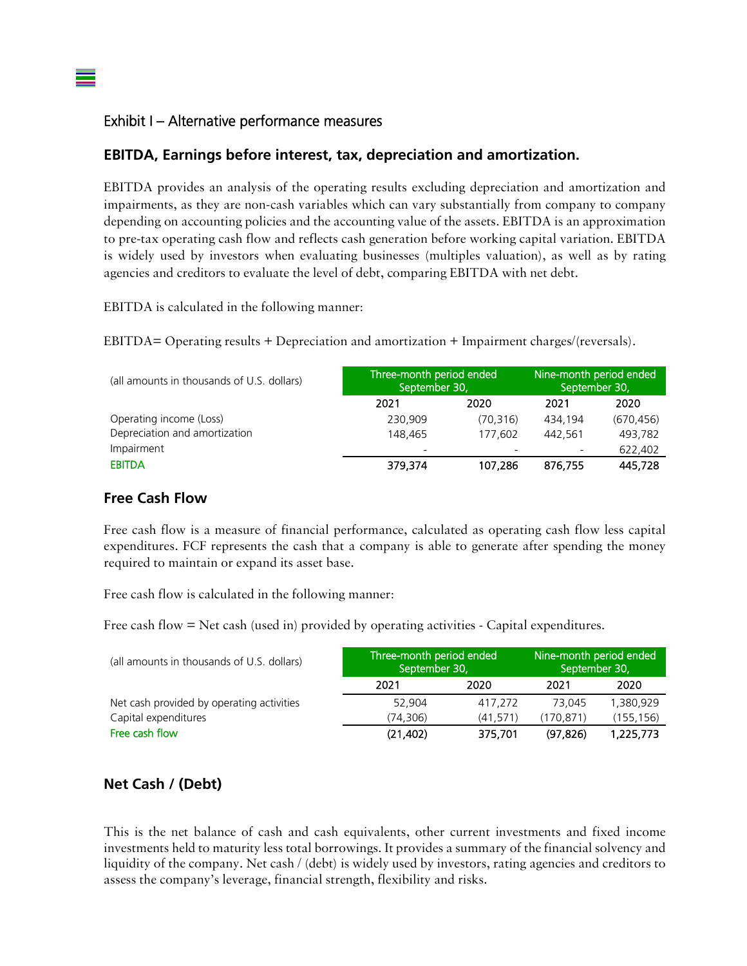### Exhibit I – Alternative performance measures

#### **EBITDA, Earnings before interest, tax, depreciation and amortization.**

EBITDA provides an analysis of the operating results excluding depreciation and amortization and impairments, as they are non-cash variables which can vary substantially from company to company depending on accounting policies and the accounting value of the assets. EBITDA is an approximation to pre-tax operating cash flow and reflects cash generation before working capital variation. EBITDA is widely used by investors when evaluating businesses (multiples valuation), as well as by rating agencies and creditors to evaluate the level of debt, comparing EBITDA with net debt.

EBITDA is calculated in the following manner:

EBITDA= Operating results + Depreciation and amortization + Impairment charges/(reversals).

| (all amounts in thousands of U.S. dollars) | Three-month period ended<br>September 30, |           | Nine-month period ended<br>September 30, |            |
|--------------------------------------------|-------------------------------------------|-----------|------------------------------------------|------------|
|                                            | 2021                                      | 2020      | 2021                                     | 2020       |
| Operating income (Loss)                    | 230,909                                   | (70, 316) | 434.194                                  | (670, 456) |
| Depreciation and amortization              | 148,465                                   | 177,602   | 442.561                                  | 493,782    |
| Impairment                                 | $\overline{\phantom{0}}$                  |           |                                          | 622,402    |
| <b>EBITDA</b>                              | 379,374                                   | 107,286   | 876,755                                  | 445,728    |

# **Free Cash Flow**

Free cash flow is a measure of financial performance, calculated as operating cash flow less capital expenditures. FCF represents the cash that a company is able to generate after spending the money required to maintain or expand its asset base.

Free cash flow is calculated in the following manner:

Free cash flow = Net cash (used in) provided by operating activities - Capital expenditures.

| (all amounts in thousands of U.S. dollars) | Three-month period ended<br>September 30, |          | Nine-month period ended<br>September 30, |           |
|--------------------------------------------|-------------------------------------------|----------|------------------------------------------|-----------|
|                                            | 2021                                      | 2020     | 2021                                     | 2020      |
| Net cash provided by operating activities  | 52.904                                    | 417.272  | 73.045                                   | 1.380.929 |
| Capital expenditures                       | (74.306)                                  | (41.571) | (170.871)                                | (155.156) |
| Free cash flow                             | (21, 402)                                 | 375,701  | (97.826)                                 | 1,225,773 |

# **Net Cash / (Debt)**

This is the net balance of cash and cash equivalents, other current investments and fixed income investments held to maturity less total borrowings. It provides a summary of the financial solvency and liquidity of the company. Net cash / (debt) is widely used by investors, rating agencies and creditors to assess the company's leverage, financial strength, flexibility and risks.